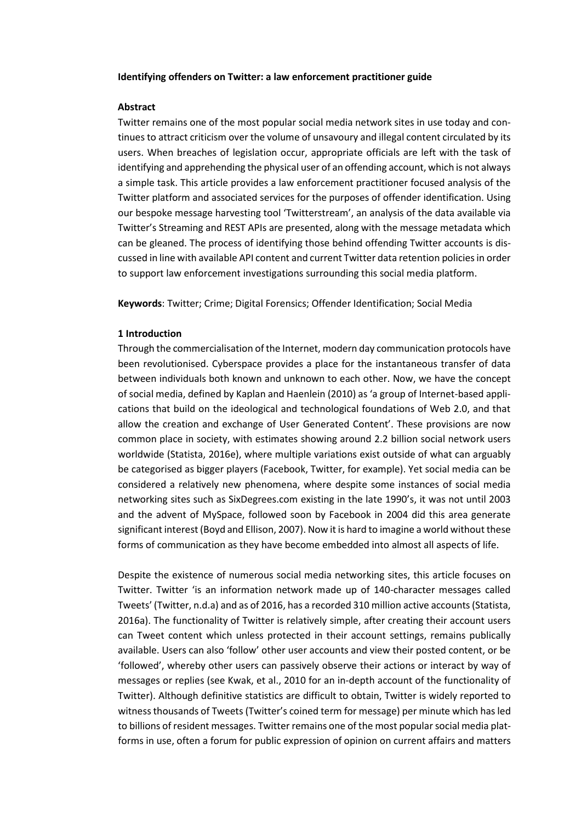#### **Identifying offenders on Twitter: a law enforcement practitioner guide**

#### **Abstract**

Twitter remains one of the most popular social media network sites in use today and continues to attract criticism over the volume of unsavoury and illegal content circulated by its users. When breaches of legislation occur, appropriate officials are left with the task of identifying and apprehending the physical user of an offending account, which is not always a simple task. This article provides a law enforcement practitioner focused analysis of the Twitter platform and associated services for the purposes of offender identification. Using our bespoke message harvesting tool 'Twitterstream', an analysis of the data available via Twitter's Streaming and REST APIs are presented, along with the message metadata which can be gleaned. The process of identifying those behind offending Twitter accounts is discussed in line with available API content and current Twitter data retention policies in order to support law enforcement investigations surrounding this social media platform.

**Keywords**: Twitter; Crime; Digital Forensics; Offender Identification; Social Media

#### **1 Introduction**

Through the commercialisation of the Internet, modern day communication protocols have been revolutionised. Cyberspace provides a place for the instantaneous transfer of data between individuals both known and unknown to each other. Now, we have the concept of social media, defined by Kaplan and Haenlein (2010) as 'a group of Internet-based applications that build on the ideological and technological foundations of Web 2.0, and that allow the creation and exchange of User Generated Content'. These provisions are now common place in society, with estimates showing around 2.2 billion social network users worldwide (Statista, 2016e), where multiple variations exist outside of what can arguably be categorised as bigger players (Facebook, Twitter, for example). Yet social media can be considered a relatively new phenomena, where despite some instances of social media networking sites such as SixDegrees.com existing in the late 1990's, it was not until 2003 and the advent of MySpace, followed soon by Facebook in 2004 did this area generate significant interest (Boyd and Ellison, 2007). Now it is hard to imagine a world without these forms of communication as they have become embedded into almost all aspects of life.

Despite the existence of numerous social media networking sites, this article focuses on Twitter. Twitter 'is an information network made up of 140-character messages called Tweets' (Twitter, n.d.a) and as of 2016, has a recorded 310 million active accounts(Statista, 2016a). The functionality of Twitter is relatively simple, after creating their account users can Tweet content which unless protected in their account settings, remains publically available. Users can also 'follow' other user accounts and view their posted content, or be 'followed', whereby other users can passively observe their actions or interact by way of messages or replies (see Kwak, et al., 2010 for an in-depth account of the functionality of Twitter). Although definitive statistics are difficult to obtain, Twitter is widely reported to witness thousands of Tweets (Twitter's coined term for message) per minute which has led to billions of resident messages. Twitter remains one of the most popular social media platforms in use, often a forum for public expression of opinion on current affairs and matters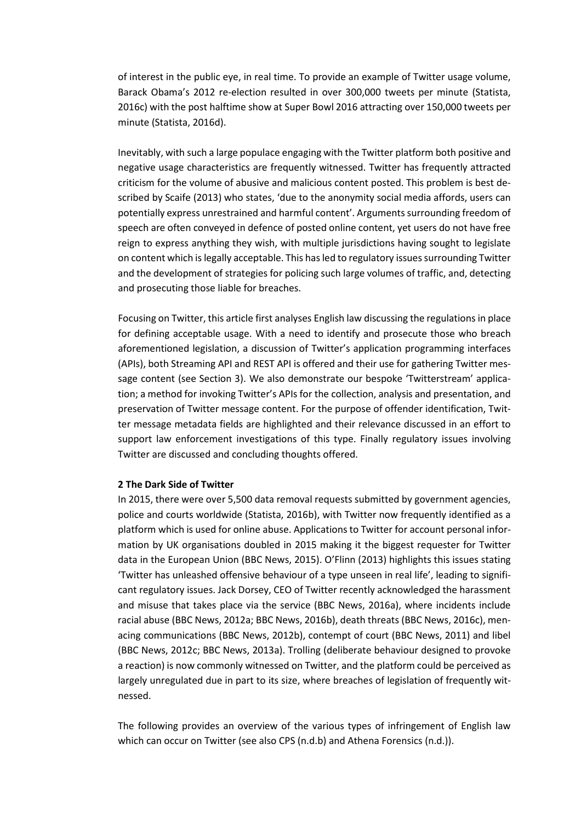of interest in the public eye, in real time. To provide an example of Twitter usage volume, Barack Obama's 2012 re-election resulted in over 300,000 tweets per minute (Statista, 2016c) with the post halftime show at Super Bowl 2016 attracting over 150,000 tweets per minute (Statista, 2016d).

Inevitably, with such a large populace engaging with the Twitter platform both positive and negative usage characteristics are frequently witnessed. Twitter has frequently attracted criticism for the volume of abusive and malicious content posted. This problem is best described by Scaife (2013) who states, 'due to the anonymity social media affords, users can potentially express unrestrained and harmful content'. Arguments surrounding freedom of speech are often conveyed in defence of posted online content, yet users do not have free reign to express anything they wish, with multiple jurisdictions having sought to legislate on content which islegally acceptable. This hasled to regulatory issues surrounding Twitter and the development of strategies for policing such large volumes of traffic, and, detecting and prosecuting those liable for breaches.

Focusing on Twitter, this article first analyses English law discussing the regulations in place for defining acceptable usage. With a need to identify and prosecute those who breach aforementioned legislation, a discussion of Twitter's application programming interfaces (APIs), both Streaming API and REST API is offered and their use for gathering Twitter message content (see Section 3). We also demonstrate our bespoke 'Twitterstream' application; a method for invoking Twitter's APIs for the collection, analysis and presentation, and preservation of Twitter message content. For the purpose of offender identification, Twitter message metadata fields are highlighted and their relevance discussed in an effort to support law enforcement investigations of this type. Finally regulatory issues involving Twitter are discussed and concluding thoughts offered.

#### **2 The Dark Side of Twitter**

In 2015, there were over 5,500 data removal requests submitted by government agencies, police and courts worldwide (Statista, 2016b), with Twitter now frequently identified as a platform which is used for online abuse. Applications to Twitter for account personal information by UK organisations doubled in 2015 making it the biggest requester for Twitter data in the European Union (BBC News, 2015). O'Flinn (2013) highlights this issues stating 'Twitter has unleashed offensive behaviour of a type unseen in real life', leading to significant regulatory issues. Jack Dorsey, CEO of Twitter recently acknowledged the harassment and misuse that takes place via the service (BBC News, 2016a), where incidents include racial abuse (BBC News, 2012a; BBC News, 2016b), death threats (BBC News, 2016c), menacing communications (BBC News, 2012b), contempt of court (BBC News, 2011) and libel (BBC News, 2012c; BBC News, 2013a). Trolling (deliberate behaviour designed to provoke a reaction) is now commonly witnessed on Twitter, and the platform could be perceived as largely unregulated due in part to its size, where breaches of legislation of frequently witnessed.

The following provides an overview of the various types of infringement of English law which can occur on Twitter (see also CPS (n.d.b) and Athena Forensics (n.d.)).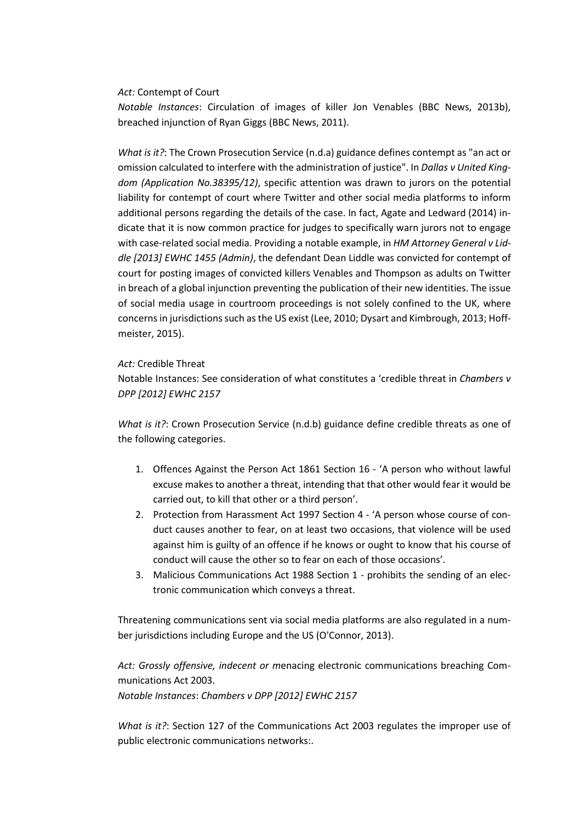## *Act:* Contempt of Court

*Notable Instances*: Circulation of images of killer Jon Venables (BBC News, 2013b), breached injunction of Ryan Giggs (BBC News, 2011).

*What is it?*: The Crown Prosecution Service (n.d.a) guidance defines contempt as "an act or omission calculated to interfere with the administration of justice". In *Dallas v United Kingdom (Application No.38395/12)*, specific attention was drawn to jurors on the potential liability for contempt of court where Twitter and other social media platforms to inform additional persons regarding the details of the case. In fact, Agate and Ledward (2014) indicate that it is now common practice for judges to specifically warn jurors not to engage with case-related social media. Providing a notable example, in *HM Attorney General v Liddle [2013] EWHC 1455 (Admin)*, the defendant Dean Liddle was convicted for contempt of court for posting images of convicted killers Venables and Thompson as adults on Twitter in breach of a global injunction preventing the publication of their new identities. The issue of social media usage in courtroom proceedings is not solely confined to the UK, where concerns in jurisdictions such as the US exist (Lee, 2010; Dysart and Kimbrough, 2013; Hoffmeister, 2015).

*Act:* Credible Threat

Notable Instances: See consideration of what constitutes a 'credible threat in *Chambers v DPP [2012] EWHC 2157*

*What is it?*: Crown Prosecution Service (n.d.b) guidance define credible threats as one of the following categories.

- 1. Offences Against the Person Act 1861 Section 16 'A person who without lawful excuse makes to another a threat, intending that that other would fear it would be carried out, to kill that other or a third person'.
- 2. Protection from Harassment Act 1997 Section 4 'A person whose course of conduct causes another to fear, on at least two occasions, that violence will be used against him is guilty of an offence if he knows or ought to know that his course of conduct will cause the other so to fear on each of those occasions'.
- 3. Malicious Communications Act 1988 Section 1 prohibits the sending of an electronic communication which conveys a threat.

Threatening communications sent via social media platforms are also regulated in a number jurisdictions including Europe and the US (O'Connor, 2013).

*Act: Grossly offensive, indecent or m*enacing electronic communications breaching Communications Act 2003. *Notable Instances*: *Chambers v DPP [2012] EWHC 2157*

*What is it?*: Section 127 of the Communications Act 2003 regulates the improper use of public electronic communications networks:.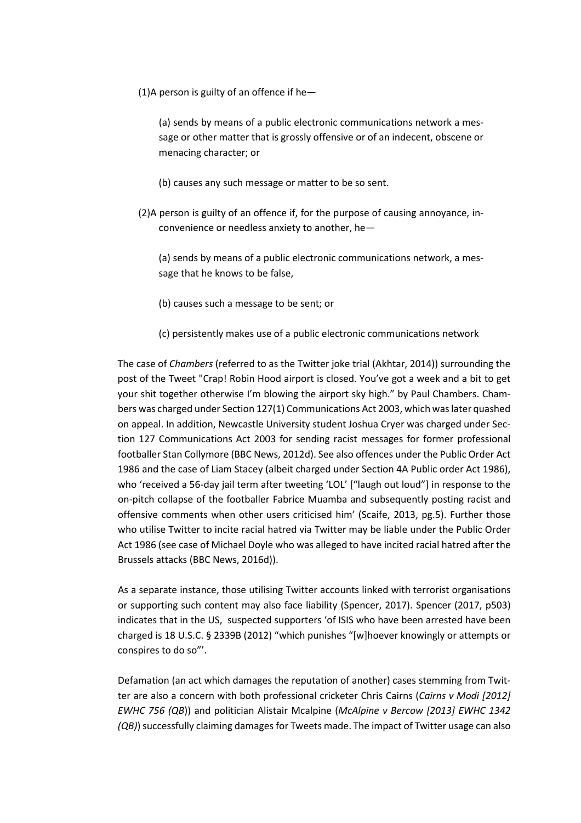(1)A person is guilty of an offence if he—

(a) sends by means of a public electronic communications network a message or other matter that is grossly offensive or of an indecent, obscene or menacing character; or

- (b) causes any such message or matter to be so sent.
- (2)A person is guilty of an offence if, for the purpose of causing annoyance, inconvenience or needless anxiety to another, he—

(a) sends by means of a public electronic communications network, a message that he knows to be false,

- (b) causes such a message to be sent; or
- (c) persistently makes use of a public electronic communications network

The case of *Chambers* (referred to as the Twitter joke trial (Akhtar, 2014)) surrounding the post of the Tweet "Crap! Robin Hood airport is closed. You've got a week and a bit to get your shit together otherwise I'm blowing the airport sky high." by Paul Chambers. Chambers was charged under Section 127(1) Communications Act 2003, which waslater quashed on appeal. In addition, Newcastle University student Joshua Cryer was charged under Section 127 Communications Act 2003 for sending racist messages for former professional footballer Stan Collymore (BBC News, 2012d). See also offences under the Public Order Act 1986 and the case of Liam Stacey (albeit charged under Section 4A Public order Act 1986), who 'received a 56-day jail term after tweeting 'LOL' ["laugh out loud"] in response to the on-pitch collapse of the footballer Fabrice Muamba and subsequently posting racist and offensive comments when other users criticised him' (Scaife, 2013, pg.5). Further those who utilise Twitter to incite racial hatred via Twitter may be liable under the Public Order Act 1986 (see case of Michael Doyle who was alleged to have incited racial hatred after the Brussels attacks (BBC News, 2016d)).

As a separate instance, those utilising Twitter accounts linked with terrorist organisations or supporting such content may also face liability (Spencer, 2017). Spencer (2017, p503) indicates that in the US, suspected supporters 'of ISIS who have been arrested have been charged is 18 U.S.C. § 2339B (2012) "which punishes "[w]hoever knowingly or attempts or conspires to do so"'.

Defamation (an act which damages the reputation of another) cases stemming from Twitter are also a concern with both professional cricketer Chris Cairns (*Cairns v Modi [2012] EWHC 756 (QB*)) and politician Alistair Mcalpine (*McAlpine v Bercow [2013] EWHC 1342 (QB)*) successfully claiming damagesfor Tweets made. The impact of Twitter usage can also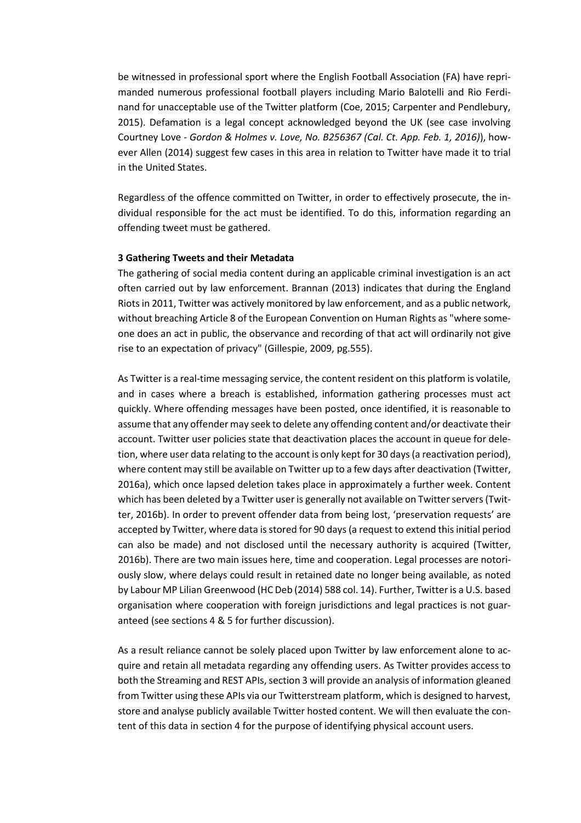be witnessed in professional sport where the English Football Association (FA) have reprimanded numerous professional football players including Mario Balotelli and Rio Ferdinand for unacceptable use of the Twitter platform (Coe, 2015; Carpenter and Pendlebury, 2015). Defamation is a legal concept acknowledged beyond the UK (see case involving Courtney Love - *Gordon & Holmes v. Love, No. B256367 (Cal. Ct. App. Feb. 1, 2016)*), however Allen (2014) suggest few cases in this area in relation to Twitter have made it to trial in the United States.

Regardless of the offence committed on Twitter, in order to effectively prosecute, the individual responsible for the act must be identified. To do this, information regarding an offending tweet must be gathered.

#### **3 Gathering Tweets and their Metadata**

The gathering of social media content during an applicable criminal investigation is an act often carried out by law enforcement. Brannan (2013) indicates that during the England Riots in 2011, Twitter was actively monitored by law enforcement, and as a public network, without breaching Article 8 of the European Convention on Human Rights as "where someone does an act in public, the observance and recording of that act will ordinarily not give rise to an expectation of privacy" (Gillespie, 2009, pg.555).

As Twitter is a real-time messaging service, the content resident on this platform is volatile, and in cases where a breach is established, information gathering processes must act quickly. Where offending messages have been posted, once identified, it is reasonable to assume that any offender may seek to delete any offending content and/or deactivate their account. Twitter user policies state that deactivation places the account in queue for deletion, where user data relating to the account is only kept for 30 days (a reactivation period), where content may still be available on Twitter up to a few days after deactivation (Twitter, 2016a), which once lapsed deletion takes place in approximately a further week. Content which has been deleted by a Twitter user is generally not available on Twitter servers (Twitter, 2016b). In order to prevent offender data from being lost, 'preservation requests' are accepted by Twitter, where data is stored for 90 days (a request to extend this initial period can also be made) and not disclosed until the necessary authority is acquired (Twitter, 2016b). There are two main issues here, time and cooperation. Legal processes are notoriously slow, where delays could result in retained date no longer being available, as noted by Labour MP Lilian Greenwood (HC Deb (2014) 588 col. 14). Further, Twitteris a U.S. based organisation where cooperation with foreign jurisdictions and legal practices is not guaranteed (see sections 4 & 5 for further discussion).

As a result reliance cannot be solely placed upon Twitter by law enforcement alone to acquire and retain all metadata regarding any offending users. As Twitter provides access to both the Streaming and REST APIs, section 3 will provide an analysis of information gleaned from Twitter using these APIs via our Twitterstream platform, which is designed to harvest, store and analyse publicly available Twitter hosted content. We will then evaluate the content of this data in section 4 for the purpose of identifying physical account users.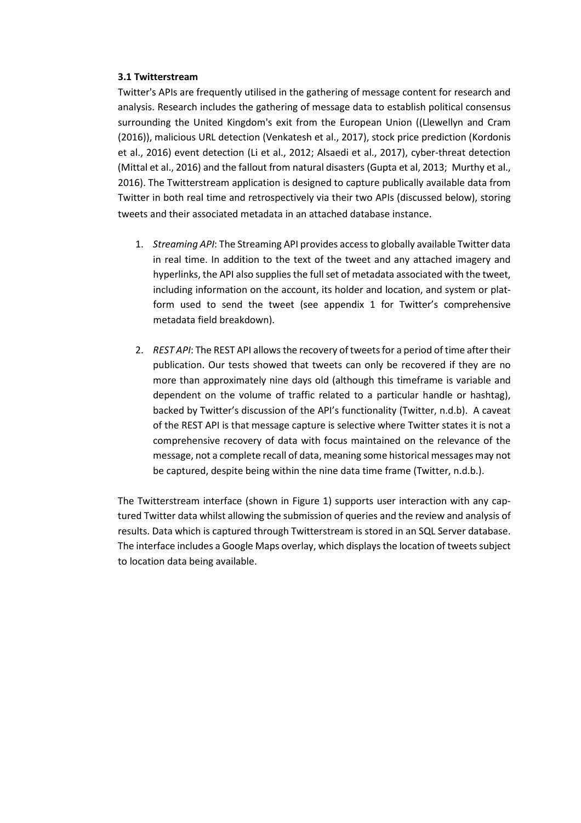## **3.1 Twitterstream**

Twitter's APIs are frequently utilised in the gathering of message content for research and analysis. Research includes the gathering of message data to establish political consensus surrounding the United Kingdom's exit from the European Union ((Llewellyn and Cram (2016)), malicious URL detection (Venkatesh et al., 2017), stock price prediction (Kordonis et al., 2016) event detection (Li et al., 2012; Alsaedi et al., 2017), cyber-threat detection (Mittal et al., 2016) and the fallout from natural disasters (Gupta et al, 2013; Murthy et al., 2016). The Twitterstream application is designed to capture publically available data from Twitter in both real time and retrospectively via their two APIs (discussed below), storing tweets and their associated metadata in an attached database instance.

- 1. *Streaming API*: The Streaming API provides accessto globally available Twitter data in real time. In addition to the text of the tweet and any attached imagery and hyperlinks, the API also supplies the full set of metadata associated with the tweet, including information on the account, its holder and location, and system or platform used to send the tweet (see appendix 1 for Twitter's comprehensive metadata field breakdown).
- 2. *REST API*: The REST API allowsthe recovery of tweetsfor a period of time after their publication. Our tests showed that tweets can only be recovered if they are no more than approximately nine days old (although this timeframe is variable and dependent on the volume of traffic related to a particular handle or hashtag), backed by Twitter's discussion of the API's functionality (Twitter, n.d.b). A caveat of the REST API is that message capture is selective where Twitter states it is not a comprehensive recovery of data with focus maintained on the relevance of the message, not a complete recall of data, meaning some historical messages may not be captured, despite being within the nine data time frame (Twitter, n.d.b.).

The Twitterstream interface (shown in Figure 1) supports user interaction with any captured Twitter data whilst allowing the submission of queries and the review and analysis of results. Data which is captured through Twitterstream is stored in an SQL Server database. The interface includes a Google Maps overlay, which displays the location of tweets subject to location data being available.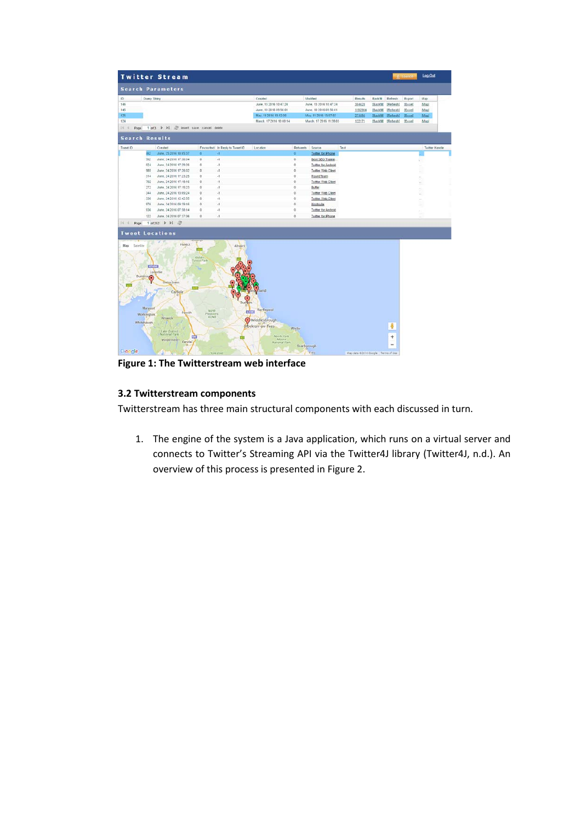|                               |                      |                                           |                                     |                                |                              |                                       |                         |      |         |                  |                          | <b>d</b> , Eaunch |                |
|-------------------------------|----------------------|-------------------------------------------|-------------------------------------|--------------------------------|------------------------------|---------------------------------------|-------------------------|------|---------|------------------|--------------------------|-------------------|----------------|
|                               |                      | <b>Search Parameters</b>                  |                                     |                                |                              |                                       |                         |      |         |                  |                          |                   |                |
| ID.                           | <b>Overy String</b>  |                                           |                                     |                                | Created                      |                                       | Modified                |      | Results | Backfill         | Refresh                  | Export            | Map.           |
| 146                           |                      |                                           |                                     |                                | June, 13 2016 10:47:24       |                                       | June, 13 2016 10:47:24  |      | 354828  | 1Backfill        | <b>IRefteshi</b>         | <b>IExcell</b>    | [Map]          |
| 145                           |                      |                                           |                                     |                                | June, 10 2016 09:56:01       |                                       | June, 10 2016 09:56:01  |      | 1192904 | <b>IBack</b>     | [Refreah]                | <b>Excel</b>      | (Map)          |
| 125                           |                      |                                           |                                     |                                | May, 11 2016 13:52:00        |                                       | May, 11:2016 13:57:02   |      | 271694  | <b>IBackfill</b> | <b>IRefreshi</b>         | <b>Excell</b>     | Marl.          |
| 124                           |                      |                                           |                                     |                                | March. 17 2016 10:00:14      |                                       | March, 17 2016 11:28:03 |      | 122171  | <b>IBackfill</b> | [Refreah]                | <b>IExcell</b>    | <b>Black</b>   |
| $14 - 4$<br>Page              |                      | 1 of 3 > > + 20 insert save cancel delete |                                     |                                |                              |                                       |                         |      |         |                  |                          |                   |                |
| <b>Search Results</b>         |                      |                                           |                                     |                                |                              |                                       |                         |      |         |                  |                          |                   |                |
| Tweet ID                      |                      | Created                                   |                                     | Favourted In Reply to Tweet ID | Location                     | Retweets                              | Source                  | Text |         |                  |                          |                   | Twitter Handle |
|                               | 992                  | June, 25 2016 18:05:37                    | $\mathbf{0}$                        | $-1$                           |                              | $\circ$                               | Tutter for Phone        |      |         |                  |                          |                   |                |
|                               | 392                  | June, 24 2016 17:30:04                    | $\mathfrak{g}$                      | $\cdot 1$                      |                              | $\alpha$                              | Best SEO Trainin        |      |         |                  |                          |                   |                |
|                               | 824                  | June, 24 2016 17:29:26                    | ö                                   | $-1$                           |                              | d                                     | Tudter for Android      |      |         |                  |                          |                   |                |
|                               | 585                  | June, 24 2016 17 26:02                    | b                                   | $\cdot$ 1                      |                              | ô                                     | Tudter Web Clent        |      |         |                  |                          |                   |                |
|                               | 314                  | June, 24 2016 17:23:25                    | 6                                   | $-1$                           |                              | ö                                     | <b>RoundTeam</b>        |      |         |                  |                          |                   | ×              |
|                               | 792                  | June, 24 2016 17:18:16                    | ö                                   | $\cdot$                        |                              | $\sigma$                              | Twitter Web Client      |      |         |                  |                          |                   | v.             |
|                               | 272                  | June, 24 2016 17:15:23                    | ö                                   | $-1$                           |                              | $\mathbf 0$                           | <b>Buffer</b>           |      |         |                  |                          |                   | z.             |
|                               | 344                  | June, 24 2016 13:09:24                    | 0                                   | $-1$                           |                              | $\circ$                               | Twitter Web Client      |      |         |                  |                          |                   | $\sim$         |
|                               | 336                  | June. 24 2016 12:42:55                    | Ď                                   | $\mathcal{A}$                  |                              | $\ddot{\circ}$                        | Tintter Web Client      |      |         |                  |                          |                   | ۰              |
|                               | 976                  | June, 24 2016 09:39:16                    |                                     | $\mathcal{A}$                  |                              | $\theta$                              | Hootsuite               |      |         |                  |                          |                   | ÷              |
|                               | 936                  | June, 24 2016 07:58:14                    | b.                                  | $\frac{1}{2}$                  |                              | $\ddot{\circ}$                        | Timtter for Android     |      |         |                  |                          |                   |                |
|                               | 122                  | June, 24 2016 07:37:06                    | D)                                  | $\cdot$ 1                      |                              | $\begin{array}{c} \alpha \end{array}$ | <b>Tudter for Phone</b> |      |         |                  |                          |                   |                |
|                               |                      | 1 of 252   H (2)                          |                                     |                                |                              |                                       |                         |      |         |                  |                          |                   |                |
|                               |                      |                                           |                                     |                                |                              |                                       |                         |      |         |                  |                          |                   |                |
|                               |                      | <b>Tweet Locations</b>                    |                                     |                                |                              |                                       |                         |      |         |                  |                          |                   |                |
| it 4 Page<br>Map<br>Satellite |                      | <b>Hawick</b>                             |                                     | Almwick                        |                              |                                       |                         |      |         |                  |                          |                   |                |
|                               |                      |                                           |                                     |                                |                              |                                       |                         |      |         |                  |                          |                   |                |
|                               |                      |                                           | <b>Nichler</b><br><b>Great Park</b> |                                |                              |                                       |                         |      |         |                  |                          |                   |                |
|                               | ESCIUD               |                                           |                                     |                                |                              |                                       |                         |      |         |                  |                          |                   |                |
|                               |                      | Lockerbir                                 |                                     |                                |                              |                                       |                         |      |         |                  |                          |                   |                |
|                               | Dumfrie <sup>®</sup> |                                           |                                     |                                |                              |                                       |                         |      |         |                  |                          |                   |                |
|                               |                      | <b>Koa Green</b>                          |                                     |                                |                              |                                       |                         |      |         |                  |                          |                   |                |
|                               |                      |                                           |                                     |                                |                              |                                       |                         |      |         |                  |                          |                   |                |
|                               |                      | Carlisle                                  |                                     |                                |                              |                                       |                         |      |         |                  |                          |                   |                |
|                               |                      |                                           |                                     |                                |                              |                                       |                         |      |         |                  |                          |                   |                |
|                               |                      |                                           |                                     |                                |                              |                                       |                         |      |         |                  |                          |                   |                |
|                               | Maryport             |                                           | North                               |                                | Hartlepool<br><b>Exhibit</b> |                                       |                         |      |         |                  |                          |                   |                |
|                               | Workington           | Penrith<br>Keswick                        | Pronoes<br><b>AONR</b>              |                                |                              |                                       |                         |      |         |                  |                          |                   |                |
|                               | <b>Whitehaven</b>    |                                           |                                     |                                | Middlesbrough                |                                       |                         |      |         |                  |                          |                   |                |
|                               |                      |                                           |                                     |                                | Stockton-on-Tees             | Whitby                                |                         |      |         |                  | ş                        |                   |                |
|                               |                      | Lake District<br>National Park            |                                     |                                |                              |                                       |                         |      |         |                  |                          |                   |                |
|                               |                      | Windermere                                |                                     |                                | North York<br><b>Moors</b>   |                                       |                         |      |         |                  | $\ddot{}$                |                   |                |
|                               |                      | Kendal                                    |                                     |                                | <b>Mational Park</b>         | Scarborough                           |                         |      |         |                  | $\overline{\phantom{a}}$ |                   |                |

**Figure 1: The Twitterstream web interface**

## **3.2 Twitterstream components**

Twitterstream has three main structural components with each discussed in turn.

1. The engine of the system is a Java application, which runs on a virtual server and connects to Twitter's Streaming API via the Twitter4J library (Twitter4J, n.d.). An overview of this process is presented in Figure 2.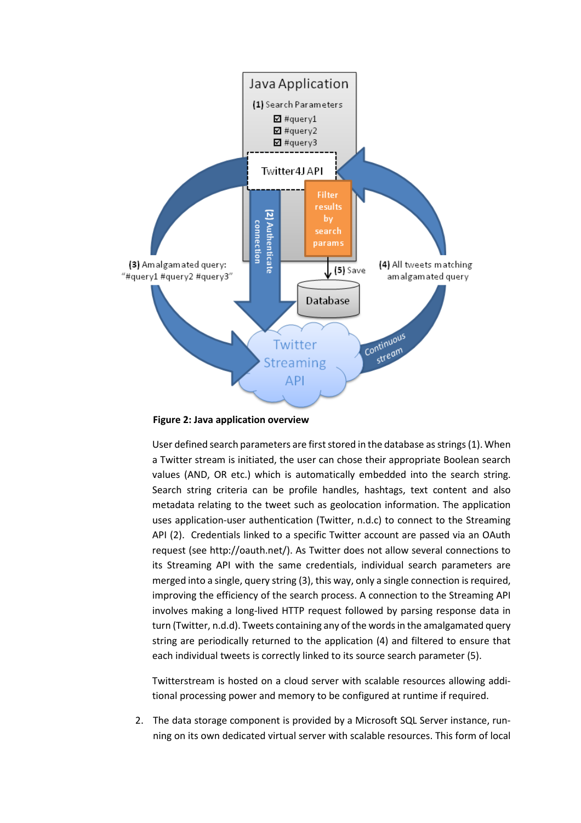

**Figure 2: Java application overview**

User defined search parameters are first stored in the database as strings (1). When a Twitter stream is initiated, the user can chose their appropriate Boolean search values (AND, OR etc.) which is automatically embedded into the search string. Search string criteria can be profile handles, hashtags, text content and also metadata relating to the tweet such as geolocation information. The application uses application-user authentication (Twitter, n.d.c) to connect to the Streaming API (2). Credentials linked to a specific Twitter account are passed via an OAuth request (see [http://oauth.net/\)](http://oauth.net/). As Twitter does not allow several connections to its Streaming API with the same credentials, individual search parameters are merged into a single, query string (3), this way, only a single connection is required, improving the efficiency of the search process. A connection to the Streaming API involves making a long-lived HTTP request followed by parsing response data in turn (Twitter, n.d.d). Tweets containing any of the words in the amalgamated query string are periodically returned to the application (4) and filtered to ensure that each individual tweets is correctly linked to its source search parameter (5).

Twitterstream is hosted on a cloud server with scalable resources allowing additional processing power and memory to be configured at runtime if required.

2. The data storage component is provided by a Microsoft SQL Server instance, running on its own dedicated virtual server with scalable resources. This form of local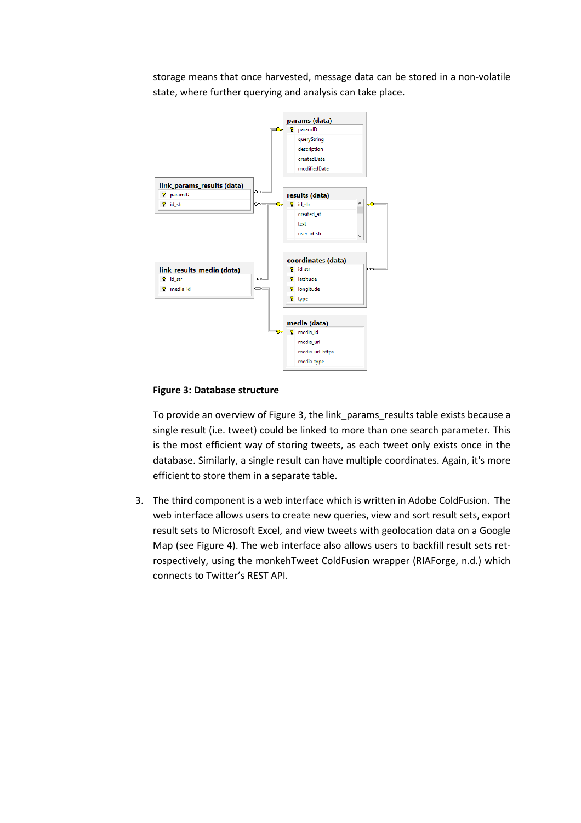storage means that once harvested, message data can be stored in a non-volatile state, where further querying and analysis can take place.



## **Figure 3: Database structure**

To provide an overview of Figure 3, the link\_params\_results table exists because a single result (i.e. tweet) could be linked to more than one search parameter. This is the most efficient way of storing tweets, as each tweet only exists once in the database. Similarly, a single result can have multiple coordinates. Again, it's more efficient to store them in a separate table.

3. The third component is a web interface which is written in Adobe ColdFusion. The web interface allows users to create new queries, view and sort result sets, export result sets to Microsoft Excel, and view tweets with geolocation data on a Google Map (see Figure 4). The web interface also allows users to backfill result sets retrospectively, using the monkehTweet ColdFusion wrapper (RIAForge, n.d.) which connects to Twitter's REST API.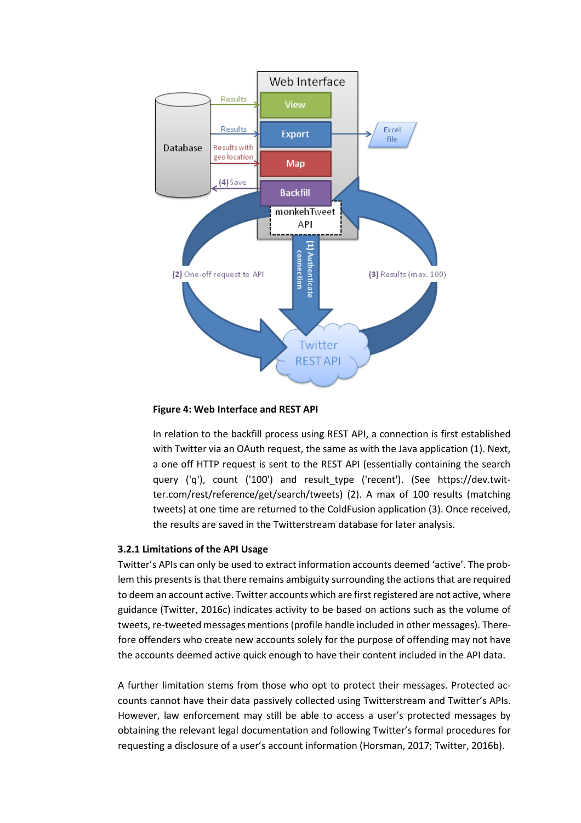

### **Figure 4: Web Interface and REST API**

In relation to the backfill process using REST API, a connection is first established with Twitter via an OAuth request, the same as with the Java application (1). Next, a one off HTTP request is sent to the REST API (essentially containing the search query ('q'), count ('100') and result\_type ('recent'). (See [https://dev.twit](https://dev.twitter.com/rest/reference/get/search/tweets)[ter.com/rest/reference/get/search/tweets\)](https://dev.twitter.com/rest/reference/get/search/tweets) (2). A max of 100 results (matching tweets) at one time are returned to the ColdFusion application (3). Once received, the results are saved in the Twitterstream database for later analysis.

## **3.2.1 Limitations of the API Usage**

Twitter's APIs can only be used to extract information accounts deemed 'active'. The problem this presents is that there remains ambiguity surrounding the actions that are required to deem an account active. Twitter accounts which are first registered are not active, where guidance (Twitter, 2016c) indicates activity to be based on actions such as the volume of tweets, re-tweeted messages mentions (profile handle included in other messages). Therefore offenders who create new accounts solely for the purpose of offending may not have the accounts deemed active quick enough to have their content included in the API data.

A further limitation stems from those who opt to protect their messages. Protected accounts cannot have their data passively collected using Twitterstream and Twitter's APIs. However, law enforcement may still be able to access a user's protected messages by obtaining the relevant legal documentation and following Twitter's formal procedures for requesting a disclosure of a user's account information (Horsman, 2017; Twitter, 2016b).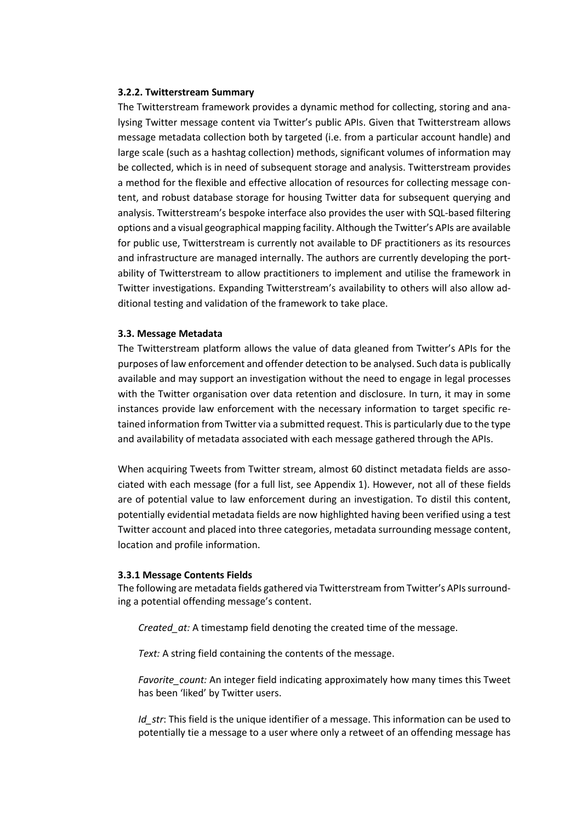### **3.2.2. Twitterstream Summary**

The Twitterstream framework provides a dynamic method for collecting, storing and analysing Twitter message content via Twitter's public APIs. Given that Twitterstream allows message metadata collection both by targeted (i.e. from a particular account handle) and large scale (such as a hashtag collection) methods, significant volumes of information may be collected, which is in need of subsequent storage and analysis. Twitterstream provides a method for the flexible and effective allocation of resources for collecting message content, and robust database storage for housing Twitter data for subsequent querying and analysis. Twitterstream's bespoke interface also provides the user with SQL-based filtering options and a visual geographical mapping facility. Although the Twitter's APIs are available for public use, Twitterstream is currently not available to DF practitioners as its resources and infrastructure are managed internally. The authors are currently developing the portability of Twitterstream to allow practitioners to implement and utilise the framework in Twitter investigations. Expanding Twitterstream's availability to others will also allow additional testing and validation of the framework to take place.

#### **3.3. Message Metadata**

The Twitterstream platform allows the value of data gleaned from Twitter's APIs for the purposes of law enforcement and offender detection to be analysed. Such data is publically available and may support an investigation without the need to engage in legal processes with the Twitter organisation over data retention and disclosure. In turn, it may in some instances provide law enforcement with the necessary information to target specific retained information from Twitter via a submitted request. This is particularly due to the type and availability of metadata associated with each message gathered through the APIs.

When acquiring Tweets from Twitter stream, almost 60 distinct metadata fields are associated with each message (for a full list, see Appendix 1). However, not all of these fields are of potential value to law enforcement during an investigation. To distil this content, potentially evidential metadata fields are now highlighted having been verified using a test Twitter account and placed into three categories, metadata surrounding message content, location and profile information.

#### **3.3.1 Message Contents Fields**

The following are metadata fields gathered via Twitterstream from Twitter's APIssurrounding a potential offending message's content.

*Created at:* A timestamp field denoting the created time of the message.

*Text:* A string field containing the contents of the message.

*Favorite\_count:* An integer field indicating approximately how many times this Tweet has been 'liked' by Twitter users.

*Id str*: This field is the unique identifier of a message. This information can be used to potentially tie a message to a user where only a retweet of an offending message has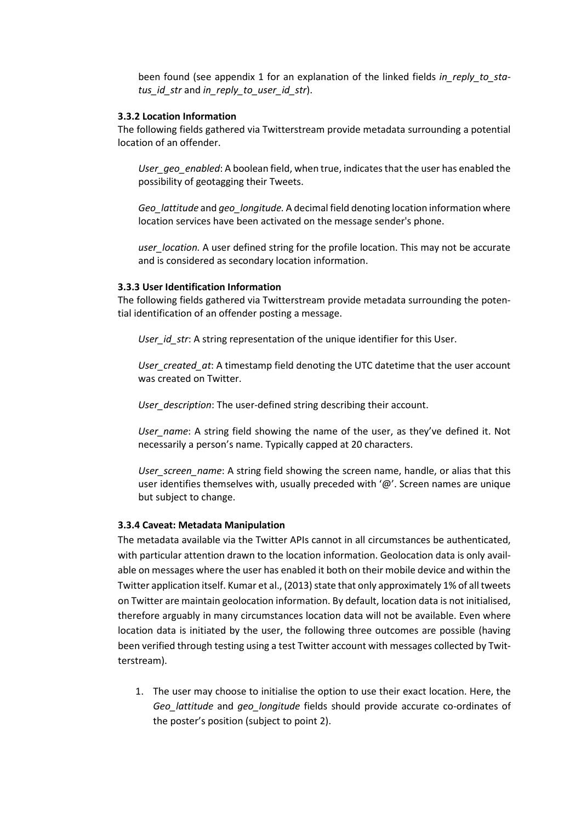been found (see appendix 1 for an explanation of the linked fields *in\_reply\_to\_status\_id\_str* and *in\_reply\_to\_user\_id\_str*).

#### **3.3.2 Location Information**

The following fields gathered via Twitterstream provide metadata surrounding a potential location of an offender.

*User geo enabled*: A boolean field, when true, indicates that the user has enabled the possibility of geotagging their Tweets.

*Geo\_lattitude* and *geo\_longitude.* A decimal field denoting location information where location services have been activated on the message sender's phone.

*user\_location.* A user defined string for the profile location. This may not be accurate and is considered as secondary location information.

### **3.3.3 User Identification Information**

The following fields gathered via Twitterstream provide metadata surrounding the potential identification of an offender posting a message.

*User id str:* A string representation of the unique identifier for this User.

*User\_created\_at*: A timestamp field denoting the UTC datetime that the user account was created on Twitter.

*User\_description*: The user-defined string describing their account.

*User\_name*: A string field showing the name of the user, as they've defined it. Not necessarily a person's name. Typically capped at 20 characters.

*User\_screen\_name*: A string field showing the screen name, handle, or alias that this user identifies themselves with, usually preceded with '@'. Screen names are unique but subject to change.

#### **3.3.4 Caveat: Metadata Manipulation**

The metadata available via the Twitter APIs cannot in all circumstances be authenticated, with particular attention drawn to the location information. Geolocation data is only available on messages where the user has enabled it both on their mobile device and within the Twitter application itself. Kumar et al., (2013) state that only approximately 1% of all tweets on Twitter are maintain geolocation information. By default, location data is not initialised, therefore arguably in many circumstances location data will not be available. Even where location data is initiated by the user, the following three outcomes are possible (having been verified through testing using a test Twitter account with messages collected by Twitterstream).

1. The user may choose to initialise the option to use their exact location. Here, the *Geo\_lattitude* and *geo\_longitude* fields should provide accurate co-ordinates of the poster's position (subject to point 2).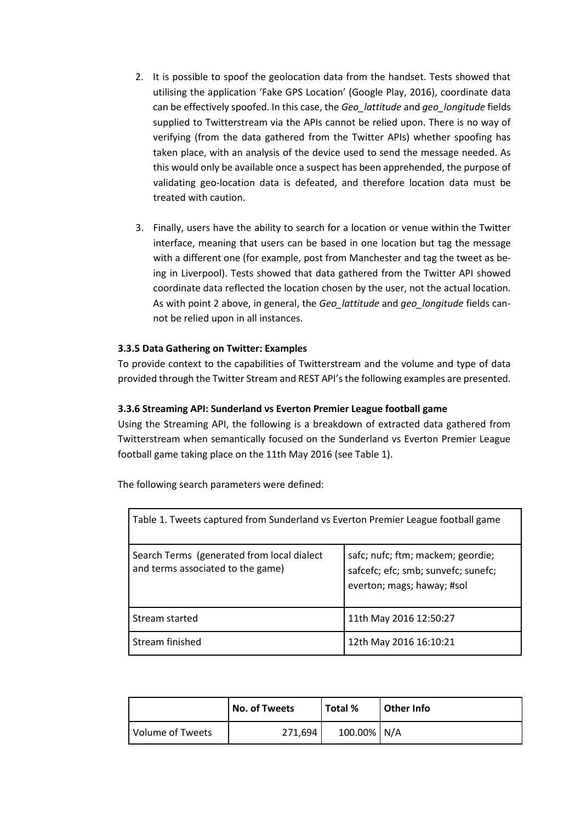- 2. It is possible to spoof the geolocation data from the handset. Tests showed that utilising the application 'Fake GPS Location' (Google Play, 2016), coordinate data can be effectively spoofed. In this case, the *Geo\_lattitude* and *geo\_longitude* fields supplied to Twitterstream via the APIs cannot be relied upon. There is no way of verifying (from the data gathered from the Twitter APIs) whether spoofing has taken place, with an analysis of the device used to send the message needed. As this would only be available once a suspect has been apprehended, the purpose of validating geo-location data is defeated, and therefore location data must be treated with caution.
- 3. Finally, users have the ability to search for a location or venue within the Twitter interface, meaning that users can be based in one location but tag the message with a different one (for example, post from Manchester and tag the tweet as being in Liverpool). Tests showed that data gathered from the Twitter API showed coordinate data reflected the location chosen by the user, not the actual location. As with point 2 above, in general, the *Geo\_lattitude* and *geo\_longitude* fields cannot be relied upon in all instances.

## **3.3.5 Data Gathering on Twitter: Examples**

To provide context to the capabilities of Twitterstream and the volume and type of data provided through the Twitter Stream and REST API'sthe following examples are presented.

## **3.3.6 Streaming API: Sunderland vs Everton Premier League football game**

Using the Streaming API, the following is a breakdown of extracted data gathered from Twitterstream when semantically focused on the Sunderland vs Everton Premier League football game taking place on the 11th May 2016 (see Table 1).

| Table 1. Tweets captured from Sunderland vs Everton Premier League football game |                                                                                                        |  |  |  |
|----------------------------------------------------------------------------------|--------------------------------------------------------------------------------------------------------|--|--|--|
| Search Terms (generated from local dialect<br>and terms associated to the game)  | safc; nufc; ftm; mackem; geordie;<br>safcefc; efc; smb; sunvefc; sunefc;<br>everton; mags; haway; #sol |  |  |  |
| Stream started                                                                   | 11th May 2016 12:50:27                                                                                 |  |  |  |
| Stream finished                                                                  | 12th May 2016 16:10:21                                                                                 |  |  |  |

The following search parameters were defined:

|                         | <b>No. of Tweets</b> | Total %     | <b>Other Info</b> |
|-------------------------|----------------------|-------------|-------------------|
| <b>Volume of Tweets</b> | 271,694              | 100.00% N/A |                   |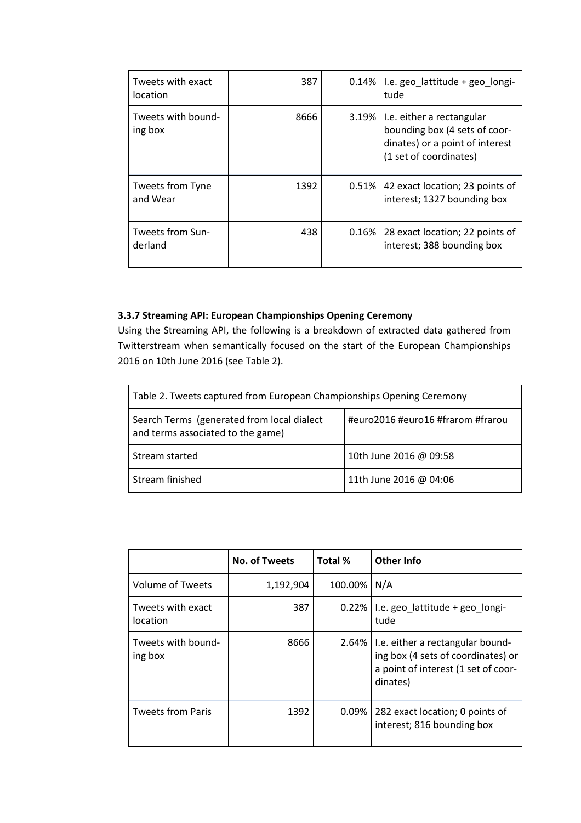| Tweets with exact<br>location | 387  | 0.14%    | I.e. geo lattitude + geo longi-<br>tude                                                                                 |
|-------------------------------|------|----------|-------------------------------------------------------------------------------------------------------------------------|
| Tweets with bound-<br>ing box | 8666 | 3.19%    | L.e. either a rectangular<br>bounding box (4 sets of coor-<br>dinates) or a point of interest<br>(1 set of coordinates) |
| Tweets from Tyne<br>and Wear  | 1392 | $0.51\%$ | 42 exact location; 23 points of<br>interest; 1327 bounding box                                                          |
| Tweets from Sun-<br>derland   | 438  | $0.16\%$ | 28 exact location; 22 points of<br>interest; 388 bounding box                                                           |

# **3.3.7 Streaming API: European Championships Opening Ceremony**

Using the Streaming API, the following is a breakdown of extracted data gathered from Twitterstream when semantically focused on the start of the European Championships 2016 on 10th June 2016 (see Table 2).

| Table 2. Tweets captured from European Championships Opening Ceremony           |                                   |  |  |
|---------------------------------------------------------------------------------|-----------------------------------|--|--|
| Search Terms (generated from local dialect<br>and terms associated to the game) | #euro2016 #euro16 #frarom #frarou |  |  |
| Stream started                                                                  | 10th June 2016 @ 09:58            |  |  |
| Stream finished                                                                 | 11th June 2016 @ 04:06            |  |  |

|                               | No. of Tweets | Total %  | <b>Other Info</b>                                                                                                         |
|-------------------------------|---------------|----------|---------------------------------------------------------------------------------------------------------------------------|
| Volume of Tweets              | 1,192,904     | 100.00%  | N/A                                                                                                                       |
| Tweets with exact<br>location | 387           | 0.22%    | I.e. geo lattitude + geo longi-<br>tude                                                                                   |
| Tweets with bound-<br>ing box | 8666          | $2.64\%$ | I.e. either a rectangular bound-<br>ing box (4 sets of coordinates) or<br>a point of interest (1 set of coor-<br>dinates) |
| <b>Tweets from Paris</b>      | 1392          | $0.09\%$ | 282 exact location; 0 points of<br>interest; 816 bounding box                                                             |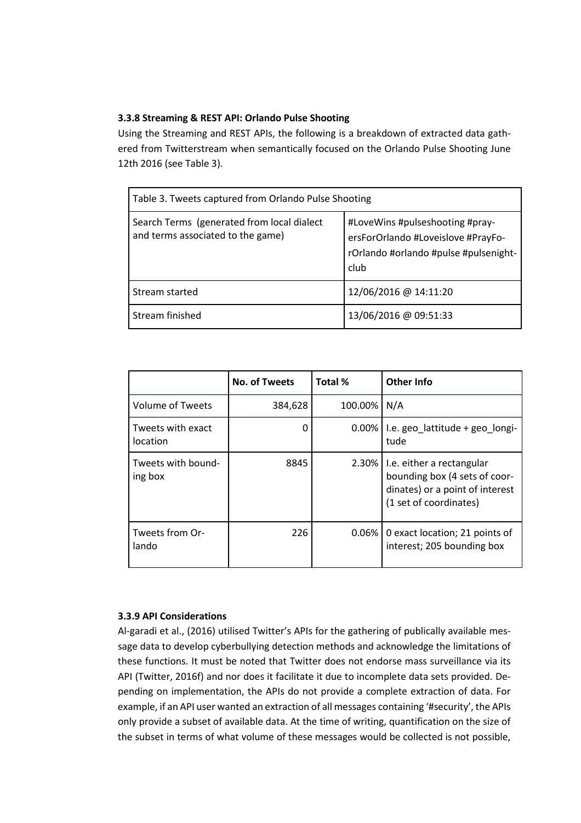# **3.3.8 Streaming & REST API: Orlando Pulse Shooting**

Using the Streaming and REST APIs, the following is a breakdown of extracted data gathered from Twitterstream when semantically focused on the Orlando Pulse Shooting June 12th 2016 (see Table 3).

| Table 3. Tweets captured from Orlando Pulse Shooting                            |                                                                                                                        |  |  |
|---------------------------------------------------------------------------------|------------------------------------------------------------------------------------------------------------------------|--|--|
| Search Terms (generated from local dialect<br>and terms associated to the game) | #LoveWins #pulseshooting #pray-<br>ersForOrlando #Loveislove #PrayFo-<br>rOrlando #orlando #pulse #pulsenight-<br>club |  |  |
| Stream started                                                                  | 12/06/2016 @ 14:11:20                                                                                                  |  |  |
| Stream finished                                                                 | 13/06/2016 @ 09:51:33                                                                                                  |  |  |

|                               | No. of Tweets | <b>Total %</b> | <b>Other Info</b>                                                                                                       |
|-------------------------------|---------------|----------------|-------------------------------------------------------------------------------------------------------------------------|
| <b>Volume of Tweets</b>       | 384,628       | 100.00%        | N/A                                                                                                                     |
| Tweets with exact<br>location | 0             | $0.00\%$       | I.e. geo lattitude + geo longi-<br>tude                                                                                 |
| Tweets with bound-<br>ing box | 8845          | 2.30%          | I.e. either a rectangular<br>bounding box (4 sets of coor-<br>dinates) or a point of interest<br>(1 set of coordinates) |
| Tweets from Or-<br>lando      | 226           | 0.06%          | 0 exact location; 21 points of<br>interest; 205 bounding box                                                            |

# **3.3.9 API Considerations**

Al-garadi et al., (2016) utilised Twitter's APIs for the gathering of publically available message data to develop cyberbullying detection methods and acknowledge the limitations of these functions. It must be noted that Twitter does not endorse mass surveillance via its API (Twitter, 2016f) and nor does it facilitate it due to incomplete data sets provided. Depending on implementation, the APIs do not provide a complete extraction of data. For example, if an API user wanted an extraction of all messages containing '#security', the APIs only provide a subset of available data. At the time of writing, quantification on the size of the subset in terms of what volume of these messages would be collected is not possible,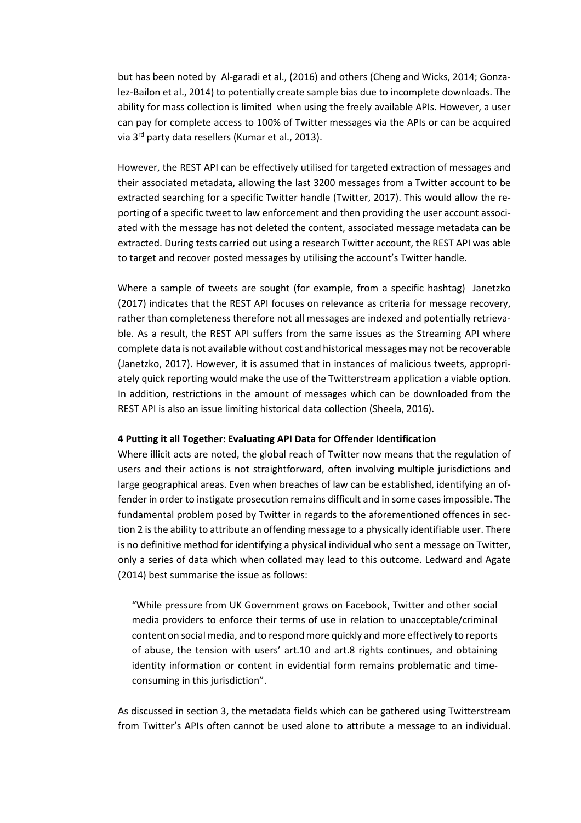but has been noted by Al-garadi et al., (2016) and others (Cheng and Wicks, 2014; Gonzalez-Bailon et al., 2014) to potentially create sample bias due to incomplete downloads. The ability for mass collection is limited when using the freely available APIs. However, a user can pay for complete access to 100% of Twitter messages via the APIs or can be acquired via 3rd party data resellers (Kumar et al., 2013).

However, the REST API can be effectively utilised for targeted extraction of messages and their associated metadata, allowing the last 3200 messages from a Twitter account to be extracted searching for a specific Twitter handle (Twitter, 2017). This would allow the reporting of a specific tweet to law enforcement and then providing the user account associated with the message has not deleted the content, associated message metadata can be extracted. During tests carried out using a research Twitter account, the REST API was able to target and recover posted messages by utilising the account's Twitter handle.

Where a sample of tweets are sought (for example, from a specific hashtag) Janetzko (2017) indicates that the REST API focuses on relevance as criteria for message recovery, rather than completeness therefore not all messages are indexed and potentially retrievable. As a result, the REST API suffers from the same issues as the Streaming API where complete data is not available without cost and historical messages may not be recoverable (Janetzko, 2017). However, it is assumed that in instances of malicious tweets, appropriately quick reporting would make the use of the Twitterstream application a viable option. In addition, restrictions in the amount of messages which can be downloaded from the REST API is also an issue limiting historical data collection (Sheela, 2016).

#### **4 Putting it all Together: Evaluating API Data for Offender Identification**

Where illicit acts are noted, the global reach of Twitter now means that the regulation of users and their actions is not straightforward, often involving multiple jurisdictions and large geographical areas. Even when breaches of law can be established, identifying an offender in order to instigate prosecution remains difficult and in some cases impossible. The fundamental problem posed by Twitter in regards to the aforementioned offences in section 2 isthe ability to attribute an offending message to a physically identifiable user. There is no definitive method for identifying a physical individual who sent a message on Twitter, only a series of data which when collated may lead to this outcome. Ledward and Agate (2014) best summarise the issue as follows:

"While pressure from UK Government grows on Facebook, Twitter and other social media providers to enforce their terms of use in relation to unacceptable/criminal content on social media, and to respondmore quickly and more effectively to reports of abuse, the tension with users' art.10 and art.8 rights continues, and obtaining identity information or content in evidential form remains problematic and timeconsuming in this jurisdiction".

As discussed in section 3, the metadata fields which can be gathered using Twitterstream from Twitter's APIs often cannot be used alone to attribute a message to an individual.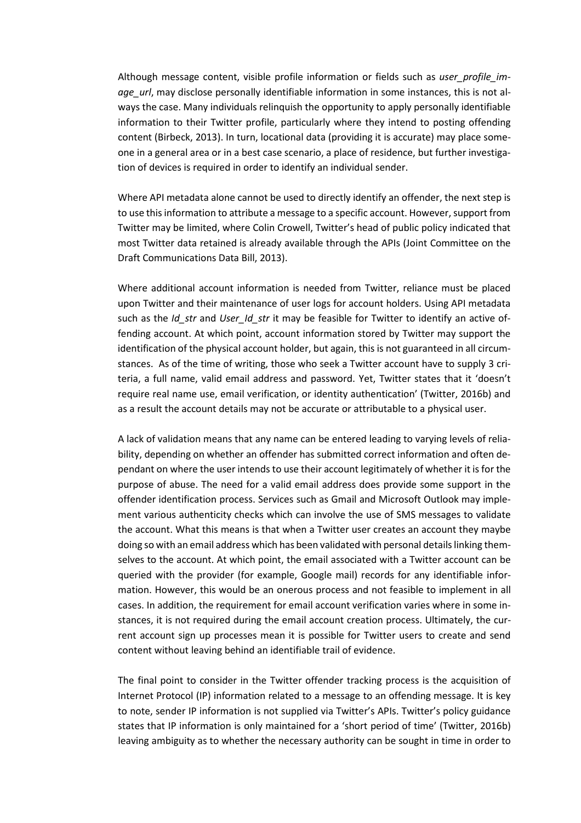Although message content, visible profile information or fields such as *user\_profile\_image\_url*, may disclose personally identifiable information in some instances, this is not always the case. Many individuals relinquish the opportunity to apply personally identifiable information to their Twitter profile, particularly where they intend to posting offending content (Birbeck, 2013). In turn, locational data (providing it is accurate) may place someone in a general area or in a best case scenario, a place of residence, but further investigation of devices is required in order to identify an individual sender.

Where API metadata alone cannot be used to directly identify an offender, the next step is to use this information to attribute a message to a specific account. However, support from Twitter may be limited, where Colin Crowell, Twitter's head of public policy indicated that most Twitter data retained is already available through the APIs (Joint Committee on the Draft Communications Data Bill, 2013).

Where additional account information is needed from Twitter, reliance must be placed upon Twitter and their maintenance of user logs for account holders. Using API metadata such as the *Id str* and *User Id str* it may be feasible for Twitter to identify an active offending account. At which point, account information stored by Twitter may support the identification of the physical account holder, but again, this is not guaranteed in all circumstances. As of the time of writing, those who seek a Twitter account have to supply 3 criteria, a full name, valid email address and password. Yet, Twitter states that it 'doesn't require real name use, email verification, or identity authentication' (Twitter, 2016b) and as a result the account details may not be accurate or attributable to a physical user.

A lack of validation means that any name can be entered leading to varying levels of reliability, depending on whether an offender has submitted correct information and often dependant on where the user intends to use their account legitimately of whether it is for the purpose of abuse. The need for a valid email address does provide some support in the offender identification process. Services such as Gmail and Microsoft Outlook may implement various authenticity checks which can involve the use of SMS messages to validate the account. What this means is that when a Twitter user creates an account they maybe doing so with an email address which has been validated with personal detailslinking themselves to the account. At which point, the email associated with a Twitter account can be queried with the provider (for example, Google mail) records for any identifiable information. However, this would be an onerous process and not feasible to implement in all cases. In addition, the requirement for email account verification varies where in some instances, it is not required during the email account creation process. Ultimately, the current account sign up processes mean it is possible for Twitter users to create and send content without leaving behind an identifiable trail of evidence.

The final point to consider in the Twitter offender tracking process is the acquisition of Internet Protocol (IP) information related to a message to an offending message. It is key to note, sender IP information is not supplied via Twitter's APIs. Twitter's policy guidance states that IP information is only maintained for a 'short period of time' (Twitter, 2016b) leaving ambiguity as to whether the necessary authority can be sought in time in order to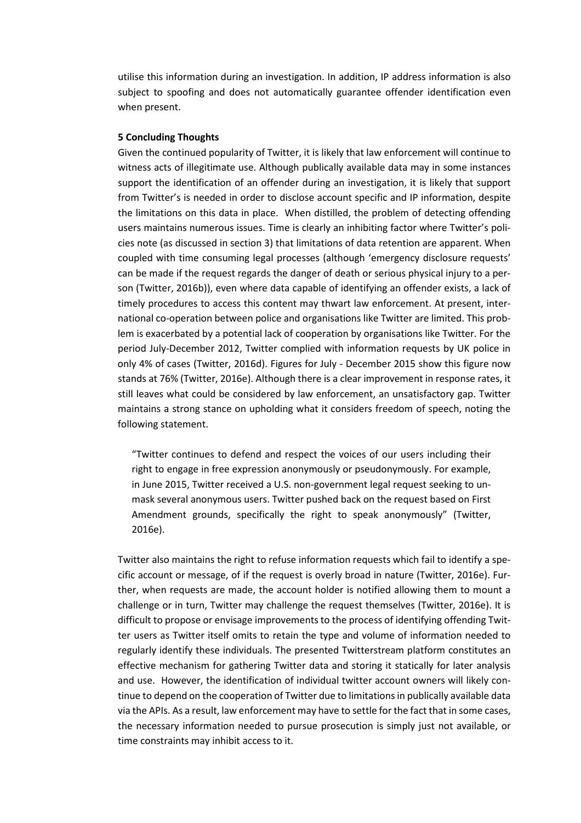utilise this information during an investigation. In addition, IP address information is also subject to spoofing and does not automatically guarantee offender identification even when present.

### **5 Concluding Thoughts**

Given the continued popularity of Twitter, it is likely that law enforcement will continue to witness acts of illegitimate use. Although publically available data may in some instances support the identification of an offender during an investigation, it is likely that support from Twitter's is needed in order to disclose account specific and IP information, despite the limitations on this data in place. When distilled, the problem of detecting offending users maintains numerous issues. Time is clearly an inhibiting factor where Twitter's policies note (as discussed in section 3) that limitations of data retention are apparent. When coupled with time consuming legal processes (although 'emergency disclosure requests' can be made if the request regards the danger of death or serious physical injury to a person (Twitter, 2016b)), even where data capable of identifying an offender exists, a lack of timely procedures to access this content may thwart law enforcement. At present, international co-operation between police and organisations like Twitter are limited. This problem is exacerbated by a potential lack of cooperation by organisations like Twitter. For the period July-December 2012, Twitter complied with information requests by UK police in only 4% of cases (Twitter, 2016d). Figures for July - December 2015 show this figure now stands at 76% (Twitter, 2016e). Although there is a clear improvement in response rates, it still leaves what could be considered by law enforcement, an unsatisfactory gap. Twitter maintains a strong stance on upholding what it considers freedom of speech, noting the following statement.

"Twitter continues to defend and respect the voices of our users including their right to engage in free expression anonymously or pseudonymously. For example, in June 2015, Twitter received a U.S. non-government legal request seeking to unmask several anonymous users. Twitter pushed back on the request based on First Amendment grounds, specifically the right to speak anonymously" (Twitter, 2016e).

Twitter also maintains the right to refuse information requests which fail to identify a specific account or message, of if the request is overly broad in nature (Twitter, 2016e). Further, when requests are made, the account holder is notified allowing them to mount a challenge or in turn, Twitter may challenge the request themselves (Twitter, 2016e). It is difficult to propose or envisage improvements to the process of identifying offending Twitter users as Twitter itself omits to retain the type and volume of information needed to regularly identify these individuals. The presented Twitterstream platform constitutes an effective mechanism for gathering Twitter data and storing it statically for later analysis and use. However, the identification of individual twitter account owners will likely continue to depend on the cooperation of Twitter due to limitationsin publically available data via the APIs. As a result, law enforcement may have to settle for the fact that in some cases, the necessary information needed to pursue prosecution is simply just not available, or time constraints may inhibit access to it.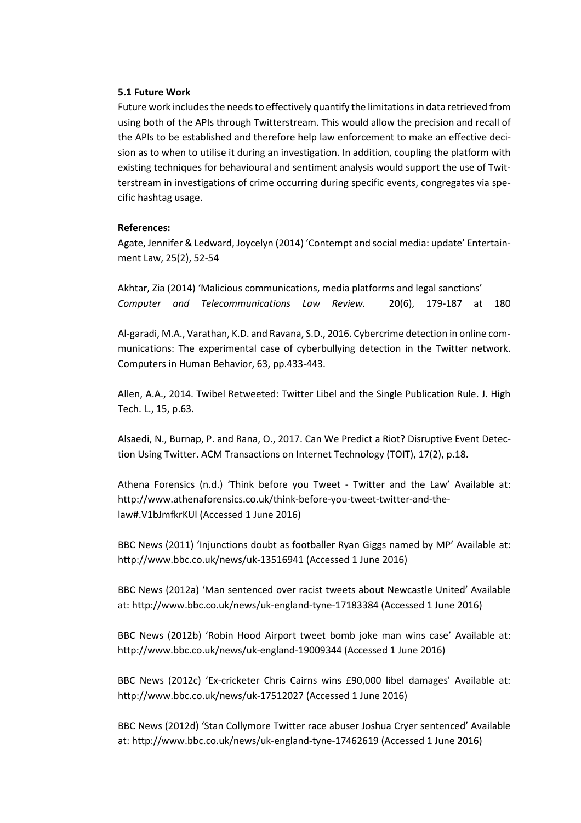### **5.1 Future Work**

Future work includes the needs to effectively quantify the limitations in data retrieved from using both of the APIs through Twitterstream. This would allow the precision and recall of the APIs to be established and therefore help law enforcement to make an effective decision as to when to utilise it during an investigation. In addition, coupling the platform with existing techniques for behavioural and sentiment analysis would support the use of Twitterstream in investigations of crime occurring during specific events, congregates via specific hashtag usage.

#### **References:**

Agate, Jennifer & Ledward, Joycelyn (2014) 'Contempt and social media: update' Entertainment Law, 25(2), 52-54

Akhtar, Zia (2014) 'Malicious communications, media platforms and legal sanctions' *Computer and Telecommunications Law Review.* 20(6), 179-187 at 180

Al-garadi, M.A., Varathan, K.D. and Ravana, S.D., 2016. Cybercrime detection in online communications: The experimental case of cyberbullying detection in the Twitter network. Computers in Human Behavior, 63, pp.433-443.

Allen, A.A., 2014. Twibel Retweeted: Twitter Libel and the Single Publication Rule. J. High Tech. L., 15, p.63.

Alsaedi, N., Burnap, P. and Rana, O., 2017. Can We Predict a Riot? Disruptive Event Detection Using Twitter. ACM Transactions on Internet Technology (TOIT), 17(2), p.18.

Athena Forensics (n.d.) 'Think before you Tweet - Twitter and the Law' Available at: http://www.athenaforensics.co.uk/think-before-you-tweet-twitter-and-thelaw#.V1bJmfkrKUl (Accessed 1 June 2016)

BBC News (2011) 'Injunctions doubt as footballer Ryan Giggs named by MP' Available at: <http://www.bbc.co.uk/news/uk-13516941> (Accessed 1 June 2016)

BBC News (2012a) 'Man sentenced over racist tweets about Newcastle United' Available at: <http://www.bbc.co.uk/news/uk-england-tyne-17183384> (Accessed 1 June 2016)

BBC News (2012b) 'Robin Hood Airport tweet bomb joke man wins case' Available at: [http://www.bbc.co.uk/news/uk-england-19009344 \(](http://www.bbc.co.uk/news/uk-england-19009344)Accessed 1 June 2016)

BBC News (2012c) 'Ex-cricketer Chris Cairns wins £90,000 libel damages' Available at: <http://www.bbc.co.uk/news/uk-17512027> (Accessed 1 June 2016)

BBC News (2012d) 'Stan Collymore Twitter race abuser Joshua Cryer sentenced' Available at: <http://www.bbc.co.uk/news/uk-england-tyne-17462619> (Accessed 1 June 2016)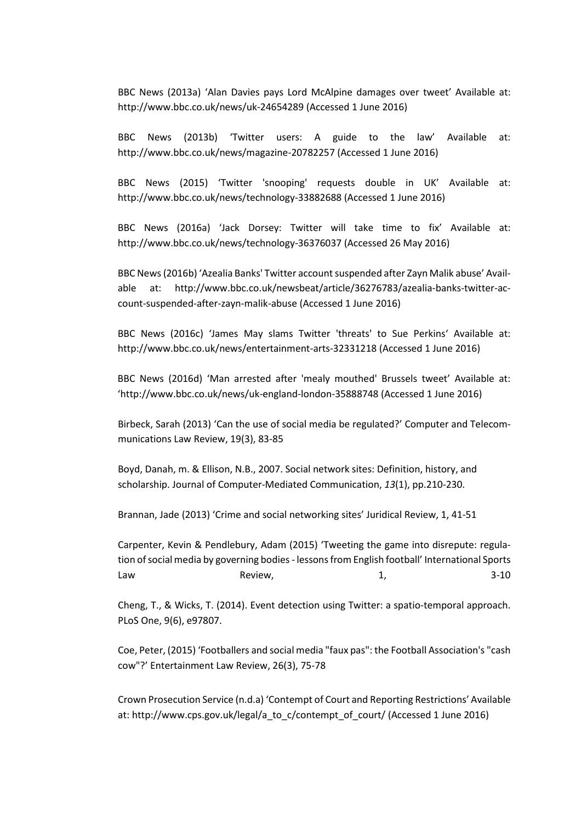BBC News (2013a) 'Alan Davies pays Lord McAlpine damages over tweet' Available at: <http://www.bbc.co.uk/news/uk-24654289> (Accessed 1 June 2016)

BBC News (2013b) 'Twitter users: A guide to the law' Available at: <http://www.bbc.co.uk/news/magazine-20782257> (Accessed 1 June 2016)

BBC News (2015) 'Twitter 'snooping' requests double in UK' Available at: <http://www.bbc.co.uk/news/technology-33882688>(Accessed 1 June 2016)

BBC News (2016a) 'Jack Dorsey: Twitter will take time to fix' Available at: <http://www.bbc.co.uk/news/technology-36376037>(Accessed 26 May 2016)

BBC News(2016b) 'Azealia Banks' Twitter accountsuspended after Zayn Malik abuse' Available at: [http://www.bbc.co.uk/newsbeat/article/36276783/azealia-banks-twitter-ac](http://www.bbc.co.uk/newsbeat/article/36276783/azealia-banks-twitter-account-suspended-after-zayn-malik-abuse)[count-suspended-after-zayn-malik-abuse](http://www.bbc.co.uk/newsbeat/article/36276783/azealia-banks-twitter-account-suspended-after-zayn-malik-abuse) (Accessed 1 June 2016)

BBC News (2016c) 'James May slams Twitter 'threats' to Sue Perkins' Available at: <http://www.bbc.co.uk/news/entertainment-arts-32331218> (Accessed 1 June 2016)

BBC News (2016d) 'Man arrested after 'mealy mouthed' Brussels tweet' Available at: ['http://www.bbc.co.uk/news/uk-england-london-35888748](http://www.bbc.co.uk/news/uk-england-london-35888748) (Accessed 1 June 2016)

Birbeck, Sarah (2013) 'Can the use of social media be regulated?' Computer and Telecommunications Law Review, 19(3), 83-85

Boyd, Danah, m. & Ellison, N.B., 2007. Social network sites: Definition, history, and scholarship. Journal of Computer-Mediated Communication, *13*(1), pp.210-230.

Brannan, Jade (2013) 'Crime and social networking sites' Juridical Review, 1, 41-51

Carpenter, Kevin & Pendlebury, Adam (2015) 'Tweeting the game into disrepute: regulation of social media by governing bodies - lessons from English football' International Sports Law Review, 1, 3-10

Cheng, T., & Wicks, T. (2014). Event detection using Twitter: a spatio-temporal approach. PLoS One, 9(6), e97807.

Coe, Peter, (2015) 'Footballers and social media "faux pas": the Football Association's "cash cow"?' Entertainment Law Review, 26(3), 75-78

Crown Prosecution Service (n.d.a) 'Contempt of Court and Reporting Restrictions' Available at: [http://www.cps.gov.uk/legal/a\\_to\\_c/contempt\\_of\\_court/](http://www.cps.gov.uk/legal/a_to_c/contempt_of_court/) (Accessed 1 June 2016)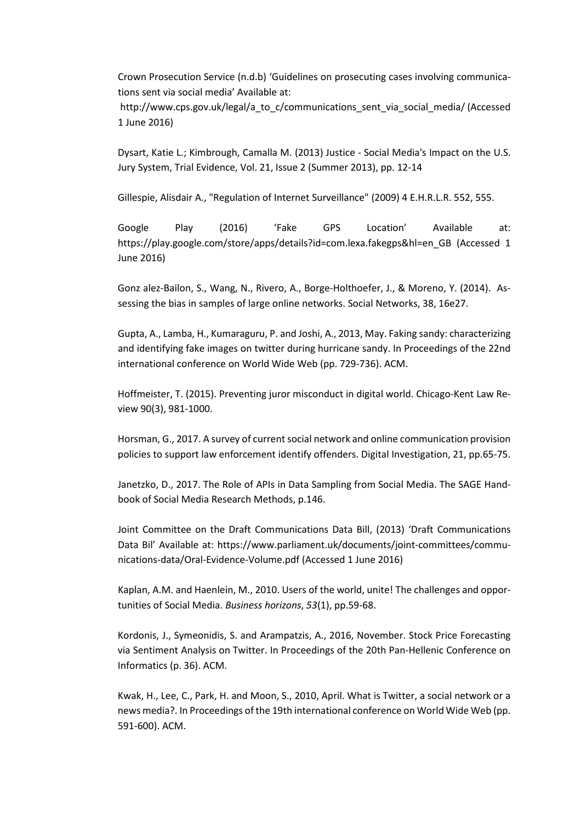Crown Prosecution Service (n.d.b) 'Guidelines on prosecuting cases involving communications sent via social media' Available at:

[http://www.cps.gov.uk/legal/a\\_to\\_c/communications\\_sent\\_via\\_social\\_media/ \(](http://www.cps.gov.uk/legal/a_to_c/communications_sent_via_social_media/)Accessed 1 June 2016)

Dysart, Katie L.; Kimbrough, Camalla M. (2013) Justice - Social Media's Impact on the U.S. Jury System, Trial Evidence, Vol. 21, Issue 2 (Summer 2013), pp. 12-14

Gillespie, Alisdair A., "Regulation of Internet Surveillance" (2009) 4 E.H.R.L.R. 552, 555.

Google Play (2016) 'Fake GPS Location' Available at: [https://play.google.com/store/apps/details?id=com.lexa.fakegps&hl=en\\_GB](https://play.google.com/store/apps/details?id=com.lexa.fakegps&hl=en_GB) (Accessed 1 June 2016)

Gonz alez-Bailon, S., Wang, N., Rivero, A., Borge-Holthoefer, J., & Moreno, Y. (2014). Assessing the bias in samples of large online networks. Social Networks, 38, 16e27.

Gupta, A., Lamba, H., Kumaraguru, P. and Joshi, A., 2013, May. Faking sandy: characterizing and identifying fake images on twitter during hurricane sandy. In Proceedings of the 22nd international conference on World Wide Web (pp. 729-736). ACM.

Hoffmeister, T. (2015). Preventing juror misconduct in digital world. Chicago-Kent Law Review 90(3), 981-1000.

Horsman, G., 2017. A survey of current social network and online communication provision policies to support law enforcement identify offenders. Digital Investigation, 21, pp.65-75.

Janetzko, D., 2017. The Role of APIs in Data Sampling from Social Media. The SAGE Handbook of Social Media Research Methods, p.146.

Joint Committee on the Draft Communications Data Bill, (2013) 'Draft Communications Data Bil' Available at: [https://www.parliament.uk/documents/joint-committees/commu](https://www.parliament.uk/documents/joint-committees/communications-data/Oral-Evidence-Volume.pdf)[nications-data/Oral-Evidence-Volume.pdf](https://www.parliament.uk/documents/joint-committees/communications-data/Oral-Evidence-Volume.pdf) (Accessed 1 June 2016)

Kaplan, A.M. and Haenlein, M., 2010. Users of the world, unite! The challenges and opportunities of Social Media. *Business horizons*, *53*(1), pp.59-68.

Kordonis, J., Symeonidis, S. and Arampatzis, A., 2016, November. Stock Price Forecasting via Sentiment Analysis on Twitter. In Proceedings of the 20th Pan-Hellenic Conference on Informatics (p. 36). ACM.

Kwak, H., Lee, C., Park, H. and Moon, S., 2010, April. What is Twitter, a social network or a news media?. In Proceedings of the 19th international conference on World Wide Web (pp. 591-600). ACM.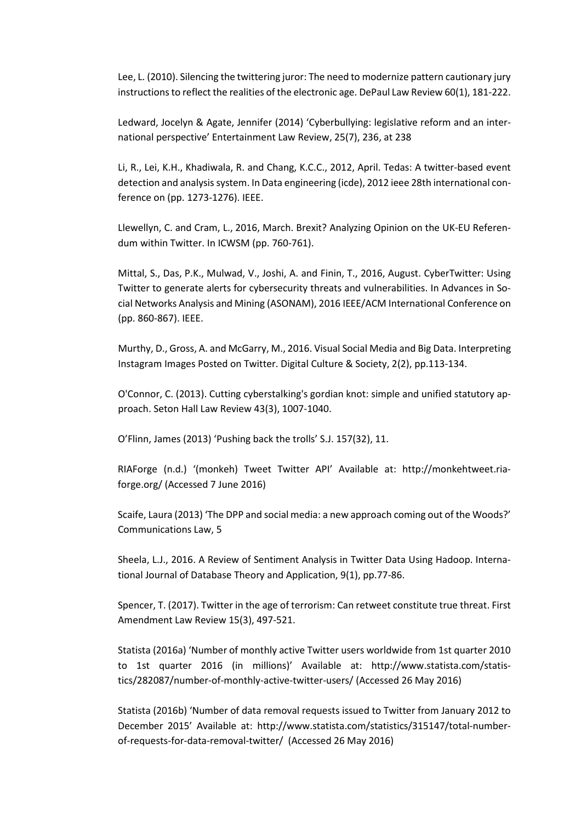Lee, L. (2010). Silencing the twittering juror: The need to modernize pattern cautionary jury instructions to reflect the realities of the electronic age. DePaul Law Review 60(1), 181-222.

Ledward, Jocelyn & Agate, Jennifer (2014) 'Cyberbullying: legislative reform and an international perspective' Entertainment Law Review, 25(7), 236, at 238

Li, R., Lei, K.H., Khadiwala, R. and Chang, K.C.C., 2012, April. Tedas: A twitter-based event detection and analysissystem. In Data engineering (icde), 2012 ieee 28th international conference on (pp. 1273-1276). IEEE.

Llewellyn, C. and Cram, L., 2016, March. Brexit? Analyzing Opinion on the UK-EU Referendum within Twitter. In ICWSM (pp. 760-761).

Mittal, S., Das, P.K., Mulwad, V., Joshi, A. and Finin, T., 2016, August. CyberTwitter: Using Twitter to generate alerts for cybersecurity threats and vulnerabilities. In Advances in Social Networks Analysis and Mining (ASONAM), 2016 IEEE/ACM International Conference on (pp. 860-867). IEEE.

Murthy, D., Gross, A. and McGarry, M., 2016. Visual Social Media and Big Data. Interpreting Instagram Images Posted on Twitter. Digital Culture & Society, 2(2), pp.113-134.

O'Connor, C. (2013). Cutting cyberstalking's gordian knot: simple and unified statutory approach. Seton Hall Law Review 43(3), 1007-1040.

O'Flinn, James (2013) 'Pushing back the trolls' S.J. 157(32), 11.

RIAForge (n.d.) '(monkeh) Tweet Twitter API' Available at: [http://monkehtweet.ria](http://monkehtweet.riaforge.org/)[forge.org/](http://monkehtweet.riaforge.org/) (Accessed 7 June 2016)

Scaife, Laura (2013) 'The DPP and social media: a new approach coming out of the Woods?' Communications Law, 5

Sheela, L.J., 2016. A Review of Sentiment Analysis in Twitter Data Using Hadoop. International Journal of Database Theory and Application, 9(1), pp.77-86.

Spencer, T. (2017). Twitter in the age of terrorism: Can retweet constitute true threat. First Amendment Law Review 15(3), 497-521.

Statista (2016a) 'Number of monthly active Twitter users worldwide from 1st quarter 2010 to 1st quarter 2016 (in millions)' Available at: [http://www.statista.com/statis](http://www.statista.com/statistics/282087/number-of-monthly-active-twitter-users/)[tics/282087/number-of-monthly-active-twitter-users/](http://www.statista.com/statistics/282087/number-of-monthly-active-twitter-users/) (Accessed 26 May 2016)

Statista (2016b) 'Number of data removal requests issued to Twitter from January 2012 to December 2015' Available at: [http://www.statista.com/statistics/315147/total-number](http://www.statista.com/statistics/315147/total-number-of-requests-for-data-removal-twitter/)[of-requests-for-data-removal-twitter/](http://www.statista.com/statistics/315147/total-number-of-requests-for-data-removal-twitter/) (Accessed 26 May 2016)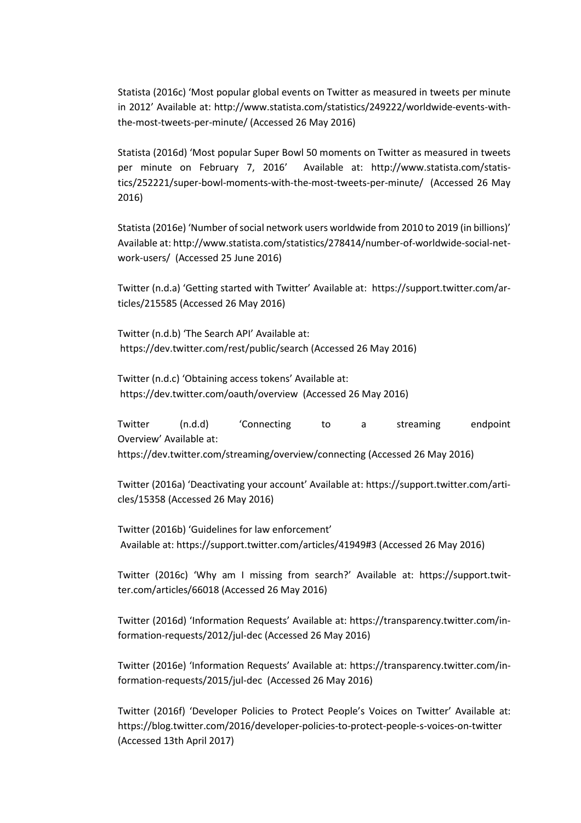Statista (2016c) 'Most popular global events on Twitter as measured in tweets per minute in 2012' Available at: [http://www.statista.com/statistics/249222/worldwide-events-with](http://www.statista.com/statistics/249222/worldwide-events-with-the-most-tweets-per-minute/)[the-most-tweets-per-minute/](http://www.statista.com/statistics/249222/worldwide-events-with-the-most-tweets-per-minute/) (Accessed 26 May 2016)

Statista (2016d) 'Most popular Super Bowl 50 moments on Twitter as measured in tweets per minute on February 7, 2016' Available at: [http://www.statista.com/statis](http://www.statista.com/statistics/252221/super-bowl-moments-with-the-most-tweets-per-minute/)[tics/252221/super-bowl-moments-with-the-most-tweets-per-minute/](http://www.statista.com/statistics/252221/super-bowl-moments-with-the-most-tweets-per-minute/) (Accessed 26 May 2016)

Statista (2016e) 'Number of social network users worldwide from 2010 to 2019 (in billions)' Available at: [http://www.statista.com/statistics/278414/number-of-worldwide-social-net](http://www.statista.com/statistics/278414/number-of-worldwide-social-network-users/)[work-users/](http://www.statista.com/statistics/278414/number-of-worldwide-social-network-users/) (Accessed 25 June 2016)

Twitter (n.d.a) 'Getting started with Twitter' Available at: [https://support.twitter.com/ar](https://support.twitter.com/articles/215585)[ticles/215585](https://support.twitter.com/articles/215585) (Accessed 26 May 2016)

Twitter (n.d.b) 'The Search API' Available at: <https://dev.twitter.com/rest/public/search> (Accessed 26 May 2016)

Twitter (n.d.c) 'Obtaining access tokens' Available at: <https://dev.twitter.com/oauth/overview>(Accessed 26 May 2016)

Twitter (n.d.d) 'Connecting to a streaming endpoint Overview' Available at: https://dev.twitter.com/streaming/overview/connecting (Accessed 26 May 2016)

Twitter (2016a) 'Deactivating your account' Available at: [https://support.twitter.com/arti](https://support.twitter.com/articles/15358)[cles/15358](https://support.twitter.com/articles/15358) (Accessed 26 May 2016)

Twitter (2016b) 'Guidelines for law enforcement' Available at: [https://support.twitter.com/articles/41949#3](https://support.twitter.com/articles/41949%233) (Accessed 26 May 2016)

Twitter (2016c) 'Why am I missing from search?' Available at: [https://support.twit](https://support.twitter.com/articles/66018)[ter.com/articles/66018 \(](https://support.twitter.com/articles/66018)Accessed 26 May 2016)

Twitter (2016d) 'Information Requests' Available at: [https://transparency.twitter.com/in](https://transparency.twitter.com/information-requests/2012/jul-dec)[formation-requests/2012/jul-dec](https://transparency.twitter.com/information-requests/2012/jul-dec) (Accessed 26 May 2016)

Twitter (2016e) 'Information Requests' Available at: [https://transparency.twitter.com/in](https://transparency.twitter.com/information-requests/2015/jul-dec)[formation-requests/2015/jul-dec](https://transparency.twitter.com/information-requests/2015/jul-dec) (Accessed 26 May 2016)

Twitter (2016f) 'Developer Policies to Protect People's Voices on Twitter' Available at: https://blog.twitter.com/2016/developer-policies-to-protect-people-s-voices-on-twitter (Accessed 13th April 2017)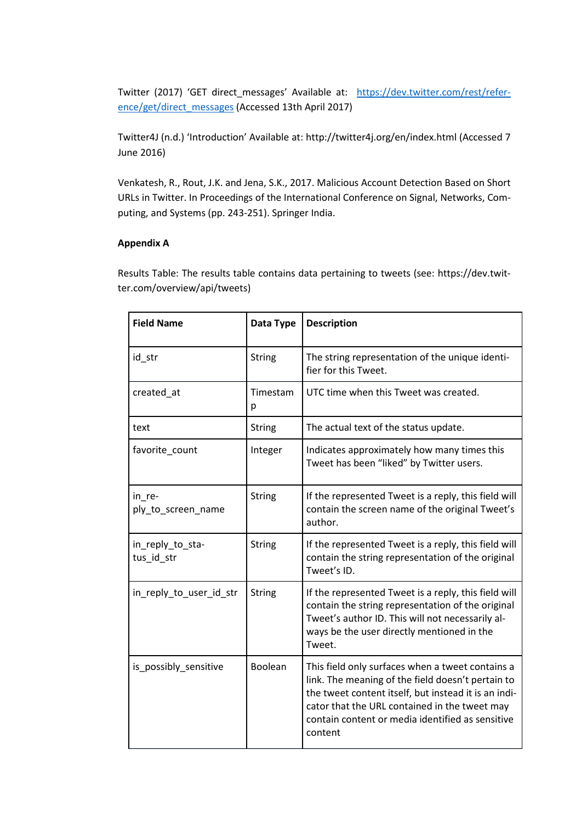Twitter (2017) 'GET direct\_messages' Available at: [https://dev.twitter.com/rest/refer](https://dev.twitter.com/rest/reference/get/direct_messages)[ence/get/direct\\_messages](https://dev.twitter.com/rest/reference/get/direct_messages) (Accessed 13th April 2017)

Twitter4J (n.d.) 'Introduction' Available at: <http://twitter4j.org/en/index.html> (Accessed 7 June 2016)

Venkatesh, R., Rout, J.K. and Jena, S.K., 2017. Malicious Account Detection Based on Short URLs in Twitter. In Proceedings of the International Conference on Signal, Networks, Computing, and Systems (pp. 243-251). Springer India.

## **Appendix A**

Results Table: The results table contains data pertaining to tweets (see: https://dev.twitter.com/overview/api/tweets)

| <b>Field Name</b>              | Data Type     | <b>Description</b>                                                                                                                                                                                                                                                            |
|--------------------------------|---------------|-------------------------------------------------------------------------------------------------------------------------------------------------------------------------------------------------------------------------------------------------------------------------------|
| id_str                         | <b>String</b> | The string representation of the unique identi-<br>fier for this Tweet.                                                                                                                                                                                                       |
| created_at                     | Timestam<br>p | UTC time when this Tweet was created.                                                                                                                                                                                                                                         |
| text                           | <b>String</b> | The actual text of the status update.                                                                                                                                                                                                                                         |
| favorite_count                 | Integer       | Indicates approximately how many times this<br>Tweet has been "liked" by Twitter users.                                                                                                                                                                                       |
| in re-<br>ply_to_screen_name   | <b>String</b> | If the represented Tweet is a reply, this field will<br>contain the screen name of the original Tweet's<br>author.                                                                                                                                                            |
| in_reply_to_sta-<br>tus id str | <b>String</b> | If the represented Tweet is a reply, this field will<br>contain the string representation of the original<br>Tweet's ID.                                                                                                                                                      |
| in reply to user id str        | <b>String</b> | If the represented Tweet is a reply, this field will<br>contain the string representation of the original<br>Tweet's author ID. This will not necessarily al-<br>ways be the user directly mentioned in the<br>Tweet.                                                         |
| is_possibly_sensitive          | Boolean       | This field only surfaces when a tweet contains a<br>link. The meaning of the field doesn't pertain to<br>the tweet content itself, but instead it is an indi-<br>cator that the URL contained in the tweet may<br>contain content or media identified as sensitive<br>content |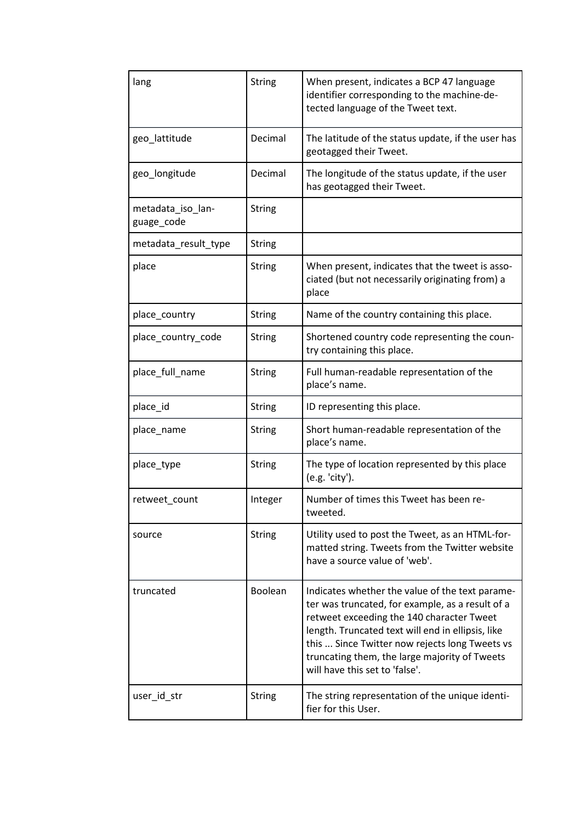| lang                            | <b>String</b> | When present, indicates a BCP 47 language<br>identifier corresponding to the machine-de-<br>tected language of the Tweet text.                                                                                                                                                                                                             |
|---------------------------------|---------------|--------------------------------------------------------------------------------------------------------------------------------------------------------------------------------------------------------------------------------------------------------------------------------------------------------------------------------------------|
| geo_lattitude                   | Decimal       | The latitude of the status update, if the user has<br>geotagged their Tweet.                                                                                                                                                                                                                                                               |
| geo_longitude                   | Decimal       | The longitude of the status update, if the user<br>has geotagged their Tweet.                                                                                                                                                                                                                                                              |
| metadata_iso_lan-<br>guage_code | <b>String</b> |                                                                                                                                                                                                                                                                                                                                            |
| metadata_result_type            | <b>String</b> |                                                                                                                                                                                                                                                                                                                                            |
| place                           | <b>String</b> | When present, indicates that the tweet is asso-<br>ciated (but not necessarily originating from) a<br>place                                                                                                                                                                                                                                |
| place_country                   | <b>String</b> | Name of the country containing this place.                                                                                                                                                                                                                                                                                                 |
| place_country_code              | <b>String</b> | Shortened country code representing the coun-<br>try containing this place.                                                                                                                                                                                                                                                                |
| place_full_name                 | <b>String</b> | Full human-readable representation of the<br>place's name.                                                                                                                                                                                                                                                                                 |
| place_id                        | <b>String</b> | ID representing this place.                                                                                                                                                                                                                                                                                                                |
| place_name                      | <b>String</b> | Short human-readable representation of the<br>place's name.                                                                                                                                                                                                                                                                                |
| place_type                      | <b>String</b> | The type of location represented by this place<br>(e.g. 'city').                                                                                                                                                                                                                                                                           |
| retweet count                   | Integer       | Number of times this Tweet has been re-<br>tweeted.                                                                                                                                                                                                                                                                                        |
| source                          | <b>String</b> | Utility used to post the Tweet, as an HTML-for-<br>matted string. Tweets from the Twitter website<br>have a source value of 'web'.                                                                                                                                                                                                         |
| truncated                       | Boolean       | Indicates whether the value of the text parame-<br>ter was truncated, for example, as a result of a<br>retweet exceeding the 140 character Tweet<br>length. Truncated text will end in ellipsis, like<br>this  Since Twitter now rejects long Tweets vs<br>truncating them, the large majority of Tweets<br>will have this set to 'false'. |
| user_id_str                     | <b>String</b> | The string representation of the unique identi-<br>fier for this User.                                                                                                                                                                                                                                                                     |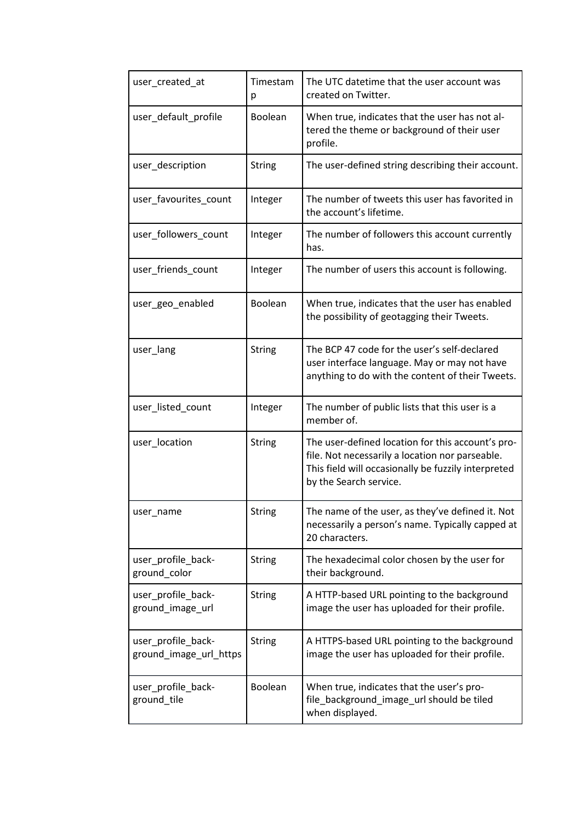| user_created_at                              | Timestam<br>p | The UTC datetime that the user account was<br>created on Twitter.                                                                                                                     |
|----------------------------------------------|---------------|---------------------------------------------------------------------------------------------------------------------------------------------------------------------------------------|
| user_default_profile                         | Boolean       | When true, indicates that the user has not al-<br>tered the theme or background of their user<br>profile.                                                                             |
| user_description                             | <b>String</b> | The user-defined string describing their account.                                                                                                                                     |
| user_favourites_count                        | Integer       | The number of tweets this user has favorited in<br>the account's lifetime.                                                                                                            |
| user_followers_count                         | Integer       | The number of followers this account currently<br>has.                                                                                                                                |
| user_friends_count                           | Integer       | The number of users this account is following.                                                                                                                                        |
| user_geo_enabled                             | Boolean       | When true, indicates that the user has enabled<br>the possibility of geotagging their Tweets.                                                                                         |
| user_lang                                    | <b>String</b> | The BCP 47 code for the user's self-declared<br>user interface language. May or may not have<br>anything to do with the content of their Tweets.                                      |
| user_listed_count                            | Integer       | The number of public lists that this user is a<br>member of.                                                                                                                          |
| user_location                                | <b>String</b> | The user-defined location for this account's pro-<br>file. Not necessarily a location nor parseable.<br>This field will occasionally be fuzzily interpreted<br>by the Search service. |
| user_name                                    | <b>String</b> | The name of the user, as they've defined it. Not<br>necessarily a person's name. Typically capped at<br>20 characters.                                                                |
| user_profile_back-<br>ground_color           | <b>String</b> | The hexadecimal color chosen by the user for<br>their background.                                                                                                                     |
| user_profile_back-<br>ground_image_url       | <b>String</b> | A HTTP-based URL pointing to the background<br>image the user has uploaded for their profile.                                                                                         |
| user_profile_back-<br>ground_image_url_https | <b>String</b> | A HTTPS-based URL pointing to the background<br>image the user has uploaded for their profile.                                                                                        |
| user_profile_back-<br>ground_tile            | Boolean       | When true, indicates that the user's pro-<br>file_background_image_url should be tiled<br>when displayed.                                                                             |